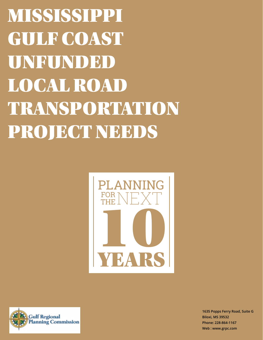MISSISSIPPI GULF COAST UNFUNDED LOCAL ROAD TRANSPORTATION PROJECT NEEDS





**1635 Popps Ferry Road, Suite G Biloxi, MS 39532 Phone: 228-864-1167 Web : www.grpc.com**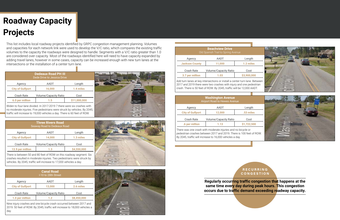## **Roadway Capacity Projects**

There is between 50 and 80 feet of ROW on this roadway segment. Six crashes resulted in moderate injuries. Two pedestrians were struck by vehicles. By 2045, traffic will increase to 17,000 vehicles a day.

|                         | <b>Three Rivers Road</b><br>Seaway Road to Dedeaux Road |             |
|-------------------------|---------------------------------------------------------|-------------|
| Agency                  | AADT                                                    | Length      |
| <b>City of Gulfport</b> | 14,000                                                  | 1.3 miles   |
| <b>Crash Rate</b>       | <b>Volume/Capacity Ratio</b>                            | Cost        |
| 13.9 per million        | 1.3                                                     | \$4,550,000 |

Nine injury crashes and one bicycle crash occurred between 2017 and 2019. 50 feet of ROW. By 2045, traffic will increase to 18,000 vehicles a day.



|                         | <b>Canal Road</b><br>I-10 to 28th Street |             |
|-------------------------|------------------------------------------|-------------|
| Agency                  | AADT                                     | Length      |
| <b>City of Gulfport</b> | 13,000                                   | 2.6 miles   |
| <b>Crash Rate</b>       | <b>Volume/Capacity Ratio</b>             | Cost        |
| 1.0 per million         | 1.2                                      | \$8,450,000 |

|                         | <b>Beachview Drive</b><br>Old Spanish Trail to Spring Avenue                                                                                                                                                               |             |
|-------------------------|----------------------------------------------------------------------------------------------------------------------------------------------------------------------------------------------------------------------------|-------------|
| Agency                  | AADT                                                                                                                                                                                                                       | Length      |
| <b>Jackson County</b>   | 11,000                                                                                                                                                                                                                     | 1.2 miles   |
| <b>Crash Rate</b>       | <b>Volume/Capacity Ratio</b>                                                                                                                                                                                               | Cost        |
| 3.7 per million         | 1.03                                                                                                                                                                                                                       | \$3,900,000 |
|                         | Add turn lanes at key intersections or install a center turn lane. Between<br>2017 and 2019 there were two crashes with injury and one pedestrian<br>crash. There is 50 feet of ROW. By 2045, traffic will be 12,000 AADT. |             |
|                         | <b>Washington Avenue</b><br><b>Airport Road to Hewes Avenue</b>                                                                                                                                                            |             |
| Agency                  | AADT                                                                                                                                                                                                                       | Length      |
|                         |                                                                                                                                                                                                                            |             |
| <b>City of Gulfport</b> | 12,000                                                                                                                                                                                                                     | .53 miles   |
| <b>Crash Rate</b>       | <b>Volume/Capacity Ratio</b>                                                                                                                                                                                               | Cost        |
| .6 per million          | 1.13                                                                                                                                                                                                                       | \$1,722,500 |

|                         | <b>Beachview Drive</b><br>Old Spanish Trail to Spring Avenue                                                                                                                                                              |             |
|-------------------------|---------------------------------------------------------------------------------------------------------------------------------------------------------------------------------------------------------------------------|-------------|
| Agency                  | AADT                                                                                                                                                                                                                      | Length      |
| <b>Jackson County</b>   | 11,000                                                                                                                                                                                                                    | 1.2 miles   |
| Crash Rate              | Volume/Capacity Ratio                                                                                                                                                                                                     | Cost        |
| 3.7 per million         | 1.03                                                                                                                                                                                                                      | \$3,900,000 |
|                         | Add turn lanes at key intersections or install a center turn lane. Between<br>2017 and 2019 there were two crashes with injury and one pedestrian<br>rash. There is 50 feet of ROW. By 2045, traffic will be 12,000 AADT. |             |
|                         | <b>Washington Avenue</b><br><b>Airport Road to Hewes Avenue</b>                                                                                                                                                           |             |
| Agency                  | AADT                                                                                                                                                                                                                      | Length      |
| <b>City of Gulfport</b> | 12,000                                                                                                                                                                                                                    | .53 miles   |
| Crash Rate              | Volume/Capacity Ratio                                                                                                                                                                                                     | Cost        |
| .6 per million          | 1.13                                                                                                                                                                                                                      | \$1,722,500 |
|                         | There was one crash with moderate injuries and no bicycle or<br>bedestrian crashes between 2017 and 2019. There is 100 feet of ROW.<br>By 2045, traffic will increase to 16,000 vehicles a day.                           |             |

This list includes local roadway projects identified by GRPC congestion management planning. Volumes and capacities for each network link were used to develop the V/C ratio, which compares the existing traffic volumes to the capacity the roadways were designed to handle. Segments with a V/C ratio greater than 1.0 are considered over capacity. Most of the roadways identified here will need to have capacity expanded by adding travel lanes, however in some cases, capacity can be increased enough with new turn lanes at the intersections or the installation of a center turn lane.

> **Regularly occurring traffic congestion that happens at the same time every day during peak hours. This congestion occurs due to traffic demand exceeding roadway capacity.**

## **R E C U R R I N G CONGESTION**

Widen to four-lane divided. In 2017-2019 7 there were six crashes with no moderate injuries. Five pedestrians were struck by vehicles. By 2045, traffic will increase to 19,000 vehicles a day. There is 60 feet of ROW.

|                         | <b>Dedeaux Road PH III</b><br>Dede Drive to Jessica Drive |              |
|-------------------------|-----------------------------------------------------------|--------------|
| Agency                  | AADT                                                      | Length       |
| <b>City of Gulfport</b> | 16,000                                                    | 1.4 miles    |
| <b>Crash Rate</b>       | Volume/Capacity Ratio                                     | Cost         |
| 6.0 per million         | 1.5                                                       | \$11,000,000 |